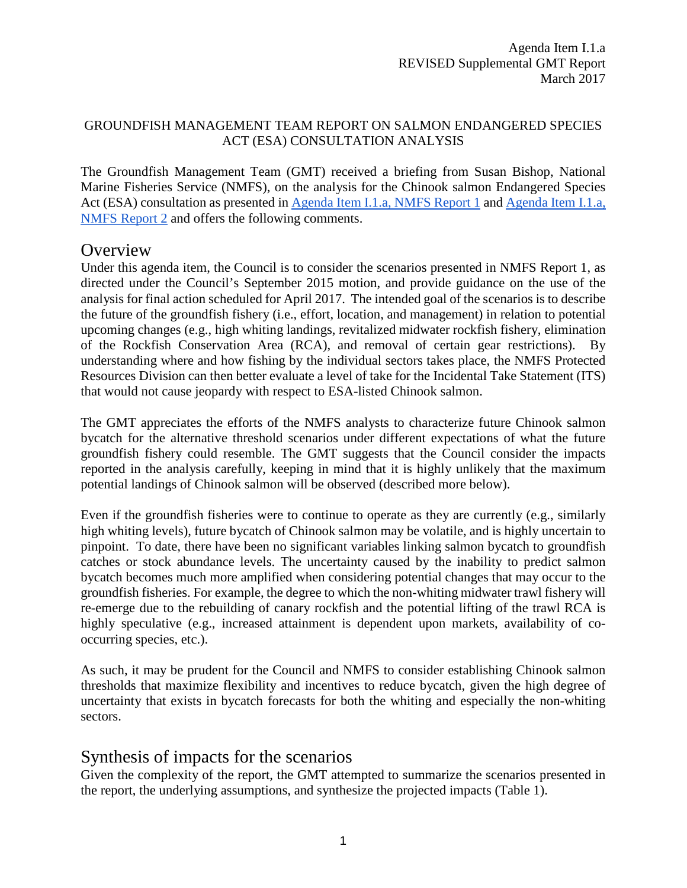#### GROUNDFISH MANAGEMENT TEAM REPORT ON SALMON ENDANGERED SPECIES ACT (ESA) CONSULTATION ANALYSIS

The Groundfish Management Team (GMT) received a briefing from Susan Bishop, National Marine Fisheries Service (NMFS), on the analysis for the Chinook salmon Endangered Species Act (ESA) consultation as presented in [Agenda Item I.1.a,](http://www.pcouncil.org/wp-content/uploads/2017/02/I1a_NMFS_Rpt1_Alts_for_Salmon_Bycatch_Mgmt_inthe_Pacific_Coast_Groundfish_Fisheries_final_Mar2017BB.pdf) NMFS Report 1 and [Agenda Item I.1.a,](http://www.pcouncil.org/wp-content/uploads/2017/02/I1a_NMFS_Rpt2_Bycatch_Summary_FinalPublicVersion_2016Updated_Mar2017BB.pdf) [NMFS Report 2](http://www.pcouncil.org/wp-content/uploads/2017/02/I1a_NMFS_Rpt2_Bycatch_Summary_FinalPublicVersion_2016Updated_Mar2017BB.pdf) and offers the following comments.

### **Overview**

Under this agenda item, the Council is to consider the scenarios presented in NMFS Report 1, as directed under the Council's September 2015 motion, and provide guidance on the use of the analysis for final action scheduled for April 2017. The intended goal of the scenarios is to describe the future of the groundfish fishery (i.e., effort, location, and management) in relation to potential upcoming changes (e.g., high whiting landings, revitalized midwater rockfish fishery, elimination of the Rockfish Conservation Area (RCA), and removal of certain gear restrictions). By understanding where and how fishing by the individual sectors takes place, the NMFS Protected Resources Division can then better evaluate a level of take for the Incidental Take Statement (ITS) that would not cause jeopardy with respect to ESA-listed Chinook salmon.

The GMT appreciates the efforts of the NMFS analysts to characterize future Chinook salmon bycatch for the alternative threshold scenarios under different expectations of what the future groundfish fishery could resemble. The GMT suggests that the Council consider the impacts reported in the analysis carefully, keeping in mind that it is highly unlikely that the maximum potential landings of Chinook salmon will be observed (described more below).

Even if the groundfish fisheries were to continue to operate as they are currently (e.g., similarly high whiting levels), future bycatch of Chinook salmon may be volatile, and is highly uncertain to pinpoint. To date, there have been no significant variables linking salmon bycatch to groundfish catches or stock abundance levels. The uncertainty caused by the inability to predict salmon bycatch becomes much more amplified when considering potential changes that may occur to the groundfish fisheries. For example, the degree to which the non-whiting midwater trawl fishery will re-emerge due to the rebuilding of canary rockfish and the potential lifting of the trawl RCA is highly speculative (e.g., increased attainment is dependent upon markets, availability of cooccurring species, etc.).

As such, it may be prudent for the Council and NMFS to consider establishing Chinook salmon thresholds that maximize flexibility and incentives to reduce bycatch, given the high degree of uncertainty that exists in bycatch forecasts for both the whiting and especially the non-whiting sectors.

### Synthesis of impacts for the scenarios

Given the complexity of the report, the GMT attempted to summarize the scenarios presented in the report, the underlying assumptions, and synthesize the projected impacts (Table 1).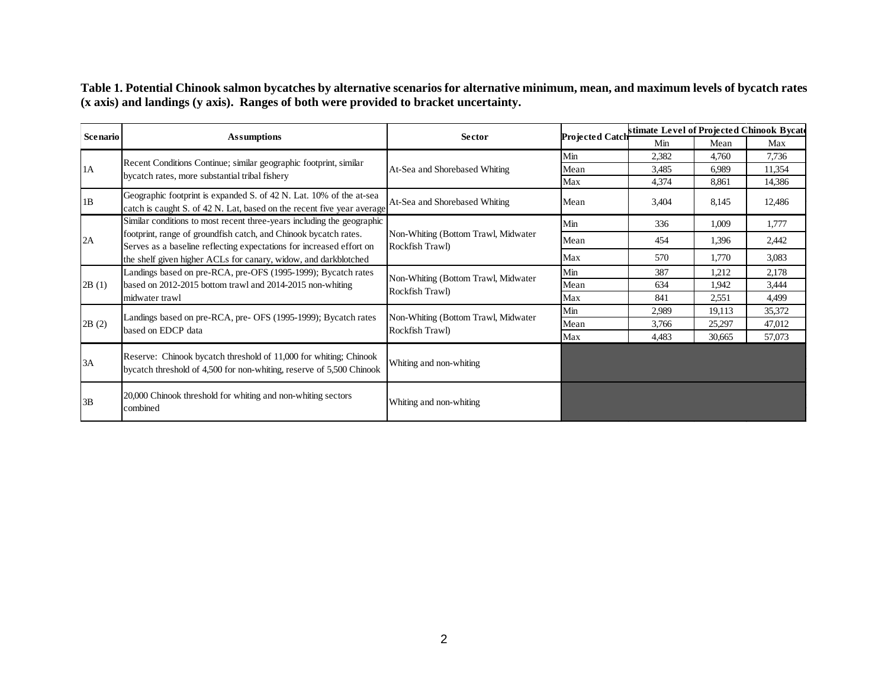**Table 1. Potential Chinook salmon bycatches by alternative scenarios for alternative minimum, mean, and maximum levels of bycatch rates (x axis) and landings (y axis). Ranges of both were provided to bracket uncertainty.**

| Scenario | <b>Assumptions</b>                                                                                                                                                                                          | <b>Sector</b>                                          | <b>Projected Catch</b> | stimate Level of Projected Chinook Bycate |        |        |
|----------|-------------------------------------------------------------------------------------------------------------------------------------------------------------------------------------------------------------|--------------------------------------------------------|------------------------|-------------------------------------------|--------|--------|
|          |                                                                                                                                                                                                             |                                                        |                        | Min                                       | Mean   | Max    |
| 1A       | Recent Conditions Continue; similar geographic footprint, similar<br>bycatch rates, more substantial tribal fishery                                                                                         | At-Sea and Shorebased Whiting                          | Min                    | 2,382                                     | 4.760  | 7,736  |
|          |                                                                                                                                                                                                             |                                                        | Mean                   | 3,485                                     | 6.989  | 11,354 |
|          |                                                                                                                                                                                                             |                                                        | Max                    | 4,374                                     | 8,861  | 14,386 |
| 1B       | Geographic footprint is expanded S. of 42 N. Lat. 10% of the at-sea<br>catch is caught S. of 42 N. Lat, based on the recent five year average                                                               | At-Sea and Shorebased Whiting                          | Mean                   | 3,404                                     | 8,145  | 12,486 |
| 2A       | Similar conditions to most recent three-years including the geographic                                                                                                                                      |                                                        | Min                    | 336                                       | 1,009  | 1,777  |
|          | footprint, range of groundfish catch, and Chinook bycatch rates.<br>Serves as a baseline reflecting expectations for increased effort on<br>the shelf given higher ACLs for canary, widow, and darkblotched | Non-Whiting (Bottom Trawl, Midwater<br>Rockfish Trawl) | Mean                   | 454                                       | 1,396  | 2,442  |
|          |                                                                                                                                                                                                             |                                                        | Max                    | 570                                       | 1,770  | 3,083  |
| 2B(1)    | Landings based on pre-RCA, pre-OFS (1995-1999); Bycatch rates<br>based on 2012-2015 bottom trawl and 2014-2015 non-whiting<br>midwater trawl                                                                | Non-Whiting (Bottom Trawl, Midwater<br>Rockfish Trawl) | Min                    | 387                                       | 1,212  | 2,178  |
|          |                                                                                                                                                                                                             |                                                        | Mean                   | 634                                       | 1.942  | 3,444  |
|          |                                                                                                                                                                                                             |                                                        | Max                    | 841                                       | 2,551  | 4,499  |
| 2B(2)    | Landings based on pre-RCA, pre- OFS (1995-1999); Bycatch rates<br>based on EDCP data                                                                                                                        | Non-Whiting (Bottom Trawl, Midwater<br>Rockfish Trawl) | Min                    | 2,989                                     | 19,113 | 35,372 |
|          |                                                                                                                                                                                                             |                                                        | Mean                   | 3,766                                     | 25,297 | 47,012 |
|          |                                                                                                                                                                                                             |                                                        | Max                    | 4.483                                     | 30,665 | 57,073 |
| 3A       | Reserve: Chinook bycatch threshold of 11,000 for whiting; Chinook<br>bycatch threshold of 4,500 for non-whiting, reserve of 5,500 Chinook                                                                   | Whiting and non-whiting                                |                        |                                           |        |        |
| 3B       | 20,000 Chinook threshold for whiting and non-whiting sectors<br>combined                                                                                                                                    | Whiting and non-whiting                                |                        |                                           |        |        |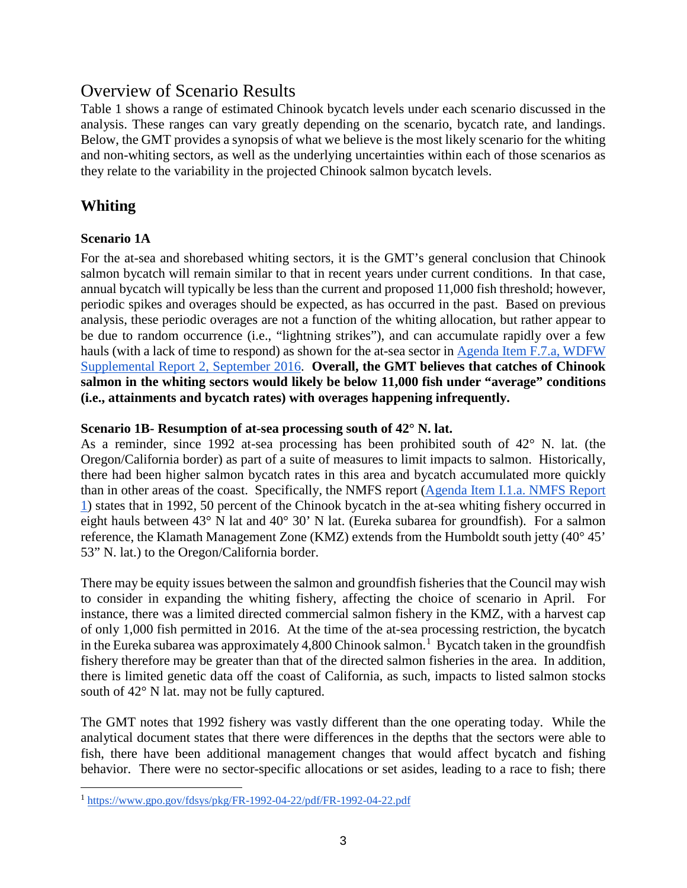## Overview of Scenario Results

Table 1 shows a range of estimated Chinook bycatch levels under each scenario discussed in the analysis. These ranges can vary greatly depending on the scenario, bycatch rate, and landings. Below, the GMT provides a synopsis of what we believe is the most likely scenario for the whiting and non-whiting sectors, as well as the underlying uncertainties within each of those scenarios as they relate to the variability in the projected Chinook salmon bycatch levels.

### **Whiting**

#### **Scenario 1A**

For the at-sea and shorebased whiting sectors, it is the GMT's general conclusion that Chinook salmon bycatch will remain similar to that in recent years under current conditions. In that case, annual bycatch will typically be less than the current and proposed 11,000 fish threshold; however, periodic spikes and overages should be expected, as has occurred in the past. Based on previous analysis, these periodic overages are not a function of the whiting allocation, but rather appear to be due to random occurrence (i.e., "lightning strikes"), and can accumulate rapidly over a few hauls (with a lack of time to respond) as shown for the at-sea sector in [Agenda Item F.7.a, WDFW](http://www.pcouncil.org/wp-content/uploads/2016/08/F7a_WDFW_Report_SEPT2016BB.pdf)  [Supplemental Report 2, September 2016.](http://www.pcouncil.org/wp-content/uploads/2016/08/F7a_WDFW_Report_SEPT2016BB.pdf) **Overall, the GMT believes that catches of Chinook salmon in the whiting sectors would likely be below 11,000 fish under "average" conditions (i.e., attainments and bycatch rates) with overages happening infrequently.** 

#### **Scenario 1B- Resumption of at-sea processing south of 42° N. lat.**

As a reminder, since 1992 at-sea processing has been prohibited south of 42° N. lat. (the Oregon/California border) as part of a suite of measures to limit impacts to salmon. Historically, there had been higher salmon bycatch rates in this area and bycatch accumulated more quickly than in other areas of the coast. Specifically, the NMFS report [\(Agenda Item I.1.a. NMFS Report](http://www.pcouncil.org/wp-content/uploads/2017/02/I1a_NMFS_Rpt1_Alts_for_Salmon_Bycatch_Mgmt_inthe_Pacific_Coast_Groundfish_Fisheries_final_Mar2017BB.pdf)  [1\)](http://www.pcouncil.org/wp-content/uploads/2017/02/I1a_NMFS_Rpt1_Alts_for_Salmon_Bycatch_Mgmt_inthe_Pacific_Coast_Groundfish_Fisheries_final_Mar2017BB.pdf) states that in 1992, 50 percent of the Chinook bycatch in the at-sea whiting fishery occurred in eight hauls between 43° N lat and 40° 30' N lat. (Eureka subarea for groundfish). For a salmon reference, the Klamath Management Zone (KMZ) extends from the Humboldt south jetty (40° 45' 53" N. lat.) to the Oregon/California border.

There may be equity issues between the salmon and groundfish fisheries that the Council may wish to consider in expanding the whiting fishery, affecting the choice of scenario in April. For instance, there was a limited directed commercial salmon fishery in the KMZ, with a harvest cap of only 1,000 fish permitted in 2016. At the time of the at-sea processing restriction, the bycatch in the Eureka subarea was approximately 4,800 Chinook salmon.<sup>[1](#page-2-0)</sup> Bycatch taken in the groundfish fishery therefore may be greater than that of the directed salmon fisheries in the area. In addition, there is limited genetic data off the coast of California, as such, impacts to listed salmon stocks south of 42° N lat. may not be fully captured.

The GMT notes that 1992 fishery was vastly different than the one operating today. While the analytical document states that there were differences in the depths that the sectors were able to fish, there have been additional management changes that would affect bycatch and fishing behavior. There were no sector-specific allocations or set asides, leading to a race to fish; there

<span id="page-2-0"></span> $\overline{a}$ <sup>1</sup> <https://www.gpo.gov/fdsys/pkg/FR-1992-04-22/pdf/FR-1992-04-22.pdf>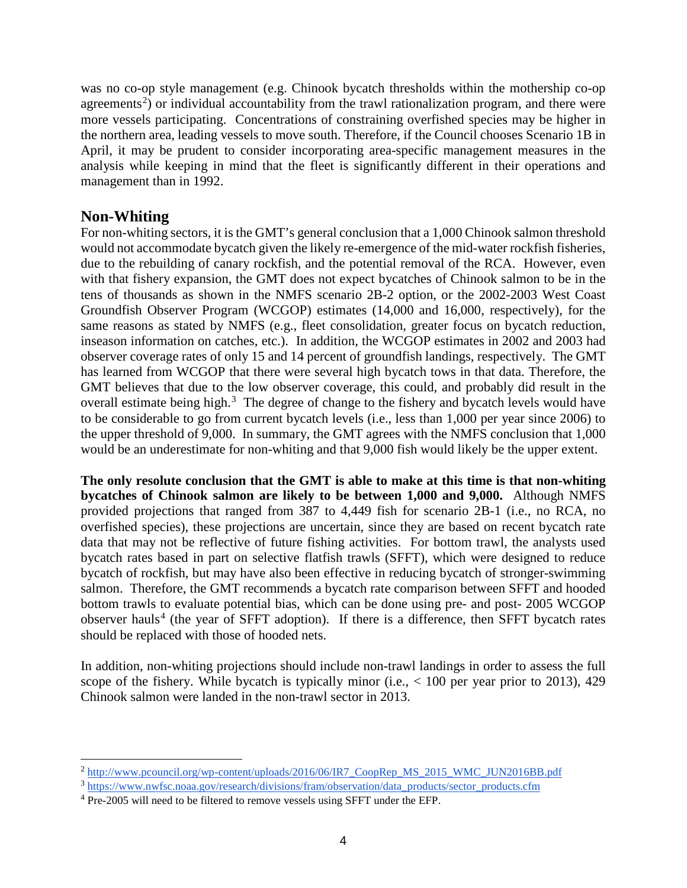was no co-op style management (e.g. Chinook bycatch thresholds within the mothership co-op agreements<sup>[2](#page-3-0)</sup>) or individual accountability from the trawl rationalization program, and there were more vessels participating. Concentrations of constraining overfished species may be higher in the northern area, leading vessels to move south. Therefore, if the Council chooses Scenario 1B in April, it may be prudent to consider incorporating area-specific management measures in the analysis while keeping in mind that the fleet is significantly different in their operations and management than in 1992.

### **Non-Whiting**

 $\overline{a}$ 

For non-whiting sectors, it is the GMT's general conclusion that a 1,000 Chinook salmon threshold would not accommodate bycatch given the likely re-emergence of the mid-water rockfish fisheries, due to the rebuilding of canary rockfish, and the potential removal of the RCA. However, even with that fishery expansion, the GMT does not expect bycatches of Chinook salmon to be in the tens of thousands as shown in the NMFS scenario 2B-2 option, or the 2002-2003 West Coast Groundfish Observer Program (WCGOP) estimates (14,000 and 16,000, respectively), for the same reasons as stated by NMFS (e.g., fleet consolidation, greater focus on bycatch reduction, inseason information on catches, etc.). In addition, the WCGOP estimates in 2002 and 2003 had observer coverage rates of only 15 and 14 percent of groundfish landings, respectively. The GMT has learned from WCGOP that there were several high bycatch tows in that data. Therefore, the GMT believes that due to the low observer coverage, this could, and probably did result in the overall estimate being high. $3$  The degree of change to the fishery and bycatch levels would have to be considerable to go from current bycatch levels (i.e., less than 1,000 per year since 2006) to the upper threshold of 9,000. In summary, the GMT agrees with the NMFS conclusion that 1,000 would be an underestimate for non-whiting and that 9,000 fish would likely be the upper extent.

**The only resolute conclusion that the GMT is able to make at this time is that non-whiting bycatches of Chinook salmon are likely to be between 1,000 and 9,000.** Although NMFS provided projections that ranged from 387 to 4,449 fish for scenario 2B-1 (i.e., no RCA, no overfished species), these projections are uncertain, since they are based on recent bycatch rate data that may not be reflective of future fishing activities. For bottom trawl, the analysts used bycatch rates based in part on selective flatfish trawls (SFFT), which were designed to reduce bycatch of rockfish, but may have also been effective in reducing bycatch of stronger-swimming salmon. Therefore, the GMT recommends a bycatch rate comparison between SFFT and hooded bottom trawls to evaluate potential bias, which can be done using pre- and post- 2005 WCGOP observer hauls<sup>[4](#page-3-2)</sup> (the year of SFFT adoption). If there is a difference, then SFFT bycatch rates should be replaced with those of hooded nets.

In addition, non-whiting projections should include non-trawl landings in order to assess the full scope of the fishery. While bycatch is typically minor (i.e.,  $< 100$  per year prior to 2013), 429 Chinook salmon were landed in the non-trawl sector in 2013.

<span id="page-3-0"></span><sup>&</sup>lt;sup>2</sup> [http://www.pcouncil.org/wp-content/uploads/2016/06/IR7\\_CoopRep\\_MS\\_2015\\_WMC\\_JUN2016BB.pdf](http://www.pcouncil.org/wp-content/uploads/2016/06/IR7_CoopRep_MS_2015_WMC_JUN2016BB.pdf)

<span id="page-3-1"></span><sup>3</sup> [https://www.nwfsc.noaa.gov/research/divisions/fram/observation/data\\_products/sector\\_products.cfm](https://www.nwfsc.noaa.gov/research/divisions/fram/observation/data_products/sector_products.cfm)

<span id="page-3-2"></span><sup>&</sup>lt;sup>4</sup> Pre-2005 will need to be filtered to remove vessels using SFFT under the EFP.